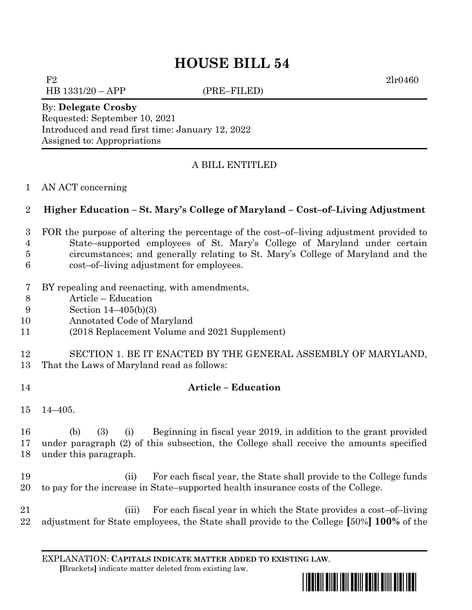# **HOUSE BILL 54**

 $F2 \t2lr0460$ HB 1331/20 – APP (PRE–FILED)

By: **Delegate Crosby** Requested: September 10, 2021 Introduced and read first time: January 12, 2022 Assigned to: Appropriations

# A BILL ENTITLED

### AN ACT concerning

## **Higher Education – St. Mary's College of Maryland – Cost–of–Living Adjustment**

- FOR the purpose of altering the percentage of the cost–of–living adjustment provided to State–supported employees of St. Mary's College of Maryland under certain circumstances; and generally relating to St. Mary's College of Maryland and the
- cost–of–living adjustment for employees.
- BY repealing and reenacting, with amendments,
- Article Education
- Section 14–405(b)(3)
- Annotated Code of Maryland
- (2018 Replacement Volume and 2021 Supplement)
- SECTION 1. BE IT ENACTED BY THE GENERAL ASSEMBLY OF MARYLAND,
- That the Laws of Maryland read as follows:
- **Article – Education**
- 14–405.

 (b) (3) (i) Beginning in fiscal year 2019, in addition to the grant provided under paragraph (2) of this subsection, the College shall receive the amounts specified under this paragraph.

- (ii) For each fiscal year, the State shall provide to the College funds to pay for the increase in State–supported health insurance costs of the College.
- (iii) For each fiscal year in which the State provides a cost–of–living adjustment for State employees, the State shall provide to the College **[**50%**] 100%** of the

EXPLANATION: **CAPITALS INDICATE MATTER ADDED TO EXISTING LAW**.  **[**Brackets**]** indicate matter deleted from existing law.